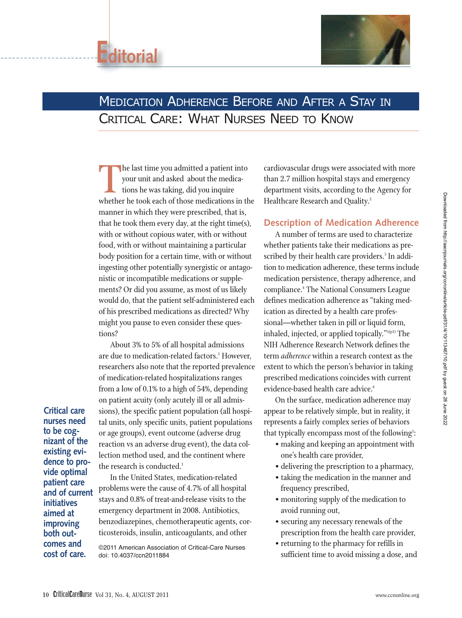



# MEDICATION ADHERENCE BEFORE AND AFTER A STAY IN CRITICAL CARE: WHAT NURSES NEED TO KNOW

The last time you admitted a patient into<br>your unit and asked about the medica-<br>tions he was taking, did you inquire<br>whether he took each of those medications in the your unit and asked about the medications he was taking, did you inquire manner in which they were prescribed, that is, that he took them every day, at the right time(s), with or without copious water, with or without food, with or without maintaining a particular body position for a certain time, with or without ingesting other potentially synergistic or antagonistic or incompatible medications or supplements? Or did you assume, as most of us likely would do, that the patient self-administered each of his prescribed medications as directed? Why might you pause to even consider these questions?

About 3% to 5% of all hospital admissions are due to medication-related factors.<sup>1</sup> However, researchers also note that the reported prevalence of medication-related hospitalizations ranges from a low of 0.1% to a high of 54%, depending on patient acuity (only acutely ill or all admissions), the specific patient population (all hospital units, only specific units, patient populations or age groups), event outcome (adverse drug reaction vs an adverse drug event), the data collection method used, and the continent where the research is conducted.<sup>1</sup>

**nurses need to be cognizant of the existing evidence to provide optimal patient care and of current initiatives aimed at improving both outcomes and cost of care.**

**Critical care**

In the United States, medication-related problems were the cause of 4.7% of all hospital stays and 0.8% of treat-and-release visits to the emergency department in 2008. Antibiotics, benzodiazepines, chemotherapeutic agents, corticosteroids, insulin, anticoagulants, and other

©2011 American Association of Critical-Care Nurses doi: 10.4037/ccn2011884

cardiovascular drugs were associated with more than 2.7 million hospital stays and emergency department visits, according to the Agency for Healthcare Research and Quality.<sup>2</sup>

## **Description of Medication Adherence**

A number of terms are used to characterize whether patients take their medications as prescribed by their health care providers.<sup>3</sup> In addition to medication adherence, these terms include medication persistence, therapy adherence, and compliance.4 The National Consumers League defines medication adherence as "taking medication as directed by a health care professional—whether taken in pill or liquid form, inhaled, injected, or applied topically."5(p1) The NIH Adherence Research Network defines the term *adherence* within a research context as the extent to which the person's behavior in taking prescribed medications coincides with current evidence-based health care advice.<sup>6</sup>

On the surface, medication adherence may appear to be relatively simple, but in reality, it represents a fairly complex series of behaviors that typically encompass most of the following $\mathrm{\ddot{\cdot}}\mathrm{\ddot{\cdot}}$ 

- making and keeping an appointment with one's health care provider,
- delivering the prescription to a pharmacy,
- taking the medication in the manner and frequency prescribed,
- monitoring supply of the medication to avoid running out,
- securing any necessary renewals of the prescription from the health care provider,
- returning to the pharmacy for refills in sufficient time to avoid missing a dose, and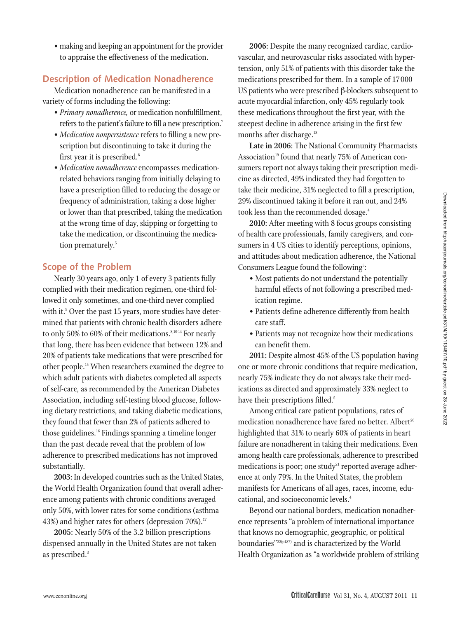• making and keeping an appointment for the provider to appraise the effectiveness of the medication.

#### **Description of Medication Nonadherence**

Medication nonadherence can be manifested in a variety of forms including the following:

- *Primary nonadherence,* or medication nonfulfillment, refers to the patient's failure to fill a new prescription.<sup>7</sup>
- *Medication nonpersistence* refers to filling a new prescription but discontinuing to take it during the first year it is prescribed.<sup>8</sup>
- *Medication nonadherence* encompasses medicationrelated behaviors ranging from initially delaying to have a prescription filled to reducing the dosage or frequency of administration, taking a dose higher or lower than that prescribed, taking the medication at the wrong time of day, skipping or forgetting to take the medication, or discontinuing the medication prematurely.<sup>5</sup>

## **Scope of the Problem**

Nearly 30 years ago, only 1 of every 3 patients fully complied with their medication regimen, one-third followed it only sometimes, and one-third never complied with it.<sup>9</sup> Over the past 15 years, more studies have determined that patients with chronic health disorders adhere to only 50% to 60% of their medications.<sup>8,10-14</sup> For nearly that long, there has been evidence that between 12% and 20% of patients take medications that were prescribed for other people.15 When researchers examined the degree to which adult patients with diabetes completed all aspects of self-care, as recommended by the American Diabetes Association, including self-testing blood glucose, following dietary restrictions, and taking diabetic medications, they found that fewer than 2% of patients adhered to those guidelines.<sup>16</sup> Findings spanning a timeline longer than the past decade reveal that the problem of low adherence to prescribed medications has not improved substantially.

**2003:** In developed countries such as the United States, the World Health Organization found that overall adherence among patients with chronic conditions averaged only 50%, with lower rates for some conditions (asthma 43%) and higher rates for others (depression 70%).<sup>17</sup>

**2005:** Nearly 50% of the 3.2 billion prescriptions dispensed annually in the United States are not taken as prescribed.<sup>3</sup>

**2006:** Despite the many recognized cardiac, cardiovascular, and neurovascular risks associated with hypertension, only 51% of patients with this disorder take the medications prescribed for them. In a sample of 17 000 US patients who were prescribed β-blockers subsequent to acute myocardial infarction, only 45% regularly took these medications throughout the first year, with the steepest decline in adherence arising in the first few months after discharge.<sup>18</sup>

**Late in 2006:** The National Community Pharmacists Association<sup>19</sup> found that nearly 75% of American consumers report not always taking their prescription medicine as directed, 49% indicated they had forgotten to take their medicine, 31% neglected to fill a prescription, 29% discontinued taking it before it ran out, and 24% took less than the recommended dosage.<sup>4</sup>

**2010:** After meeting with 8 focus groups consisting of health care professionals, family caregivers, and consumers in 4 US cities to identify perceptions, opinions, and attitudes about medication adherence, the National Consumers League found the following<sup>5</sup>:

- Most patients do not understand the potentially harmful effects of not following a prescribed medication regime.
- Patients define adherence differently from health care staff.
- Patients may not recognize how their medications can benefit them.

**2011:** Despite almost 45% of the US population having one or more chronic conditions that require medication, nearly 75% indicate they do not always take their medications as directed and approximately 33% neglect to have their prescriptions filled.<sup>5</sup>

Among critical care patient populations, rates of medication nonadherence have fared no better. Albert<sup>20</sup> highlighted that 31% to nearly 60% of patients in heart failure are nonadherent in taking their medications. Even among health care professionals, adherence to prescribed medications is poor; one study $21$  reported average adherence at only 79%. In the United States, the problem manifests for Americans of all ages, races, income, educational, and socioeconomic levels.4

Beyond our national borders, medication nonadherence represents "a problem of international importance that knows no demographic, geographic, or political boundaries"22(p187) and is characterized by the World Health Organization as "a worldwide problem of striking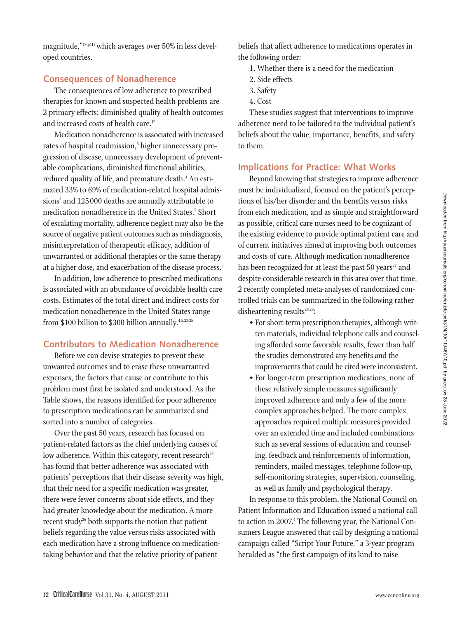magnitude,"<sup>17(p11)</sup> which averages over 50% in less developed countries.

#### **Consequences of Nonadherence**

The consequences of low adherence to prescribed therapies for known and suspected health problems are 2 primary effects: diminished quality of health outcomes and increased costs of health care.<sup>17</sup>

Medication nonadherence is associated with increased rates of hospital readmission,<sup>5</sup> higher unnecessary progression of disease, unnecessary development of preventable complications, diminished functional abilities, reduced quality of life, and premature death.<sup>4</sup> An estimated 33% to 69% of medication-related hospital admissions<sup>3</sup> and 125 000 deaths are annually attributable to medication nonadherence in the United States.<sup>5</sup> Short of escalating mortality, adherence neglect may also be the source of negative patient outcomes such as misdiagnosis, misinterpretation of therapeutic efficacy, addition of unwarranted or additional therapies or the same therapy at a higher dose, and exacerbation of the disease process.<sup>5</sup>

In addition, low adherence to prescribed medications is associated with an abundance of avoidable health care costs. Estimates of the total direct and indirect costs for medication nonadherence in the United States range from \$100 billion to \$300 billion annually.<sup>4,5,23-25</sup>

# **Contributors to Medication Nonadherence**

Before we can devise strategies to prevent these unwanted outcomes and to erase these unwarranted expenses, the factors that cause or contribute to this problem must first be isolated and understood. As the Table shows, the reasons identified for poor adherence to prescription medications can be summarized and sorted into a number of categories.

Over the past 50 years, research has focused on patient-related factors as the chief underlying causes of low adherence. Within this category, recent research<sup>22</sup> has found that better adherence was associated with patients' perceptions that their disease severity was high, that their need for a specific medication was greater, there were fewer concerns about side effects, and they had greater knowledge about the medication. A more recent study<sup>26</sup> both supports the notion that patient beliefs regarding the value versus risks associated with each medication have a strong influence on medicationtaking behavior and that the relative priority of patient

beliefs that affect adherence to medications operates in the following order:

- 1. Whether there is a need for the medication
- 2. Side effects
- 3. Safety
- 4. Cost

These studies suggest that interventions to improve adherence need to be tailored to the individual patient's beliefs about the value, importance, benefits, and safety to them.

# **Implications for Practice: What Works**

Beyond knowing that strategies to improve adherence must be individualized, focused on the patient's perceptions of his/her disorder and the benefits versus risks from each medication, and as simple and straightforward as possible, critical care nurses need to be cognizant of the existing evidence to provide optimal patient care and of current initiatives aimed at improving both outcomes and costs of care. Although medication nonadherence has been recognized for at least the past  $50$  years<sup>27</sup> and despite considerable research in this area over that time, 2 recently completed meta-analyses of randomized controlled trials can be summarized in the following rather disheartening results $28,29$ :

- For short-term prescription therapies, although written materials, individual telephone calls and counseling afforded some favorable results, fewer than half the studies demonstrated any benefits and the improvements that could be cited were inconsistent.
- For longer-term prescription medications, none of these relatively simple measures significantly improved adherence and only a few of the more complex approaches helped. The more complex approaches required multiple measures provided over an extended time and included combinations such as several sessions of education and counseling, feedback and reinforcements of information, reminders, mailed messages, telephone follow-up, self-monitoring strategies, supervision, counseling, as well as family and psychological therapy.

In response to this problem, the National Council on Patient Information and Education issued a national call to action in 2007.<sup>4</sup> The following year, the National Consumers League answered that call by designing a national campaign called "Script Your Future," a 3-year program heralded as "the first campaign of its kind to raise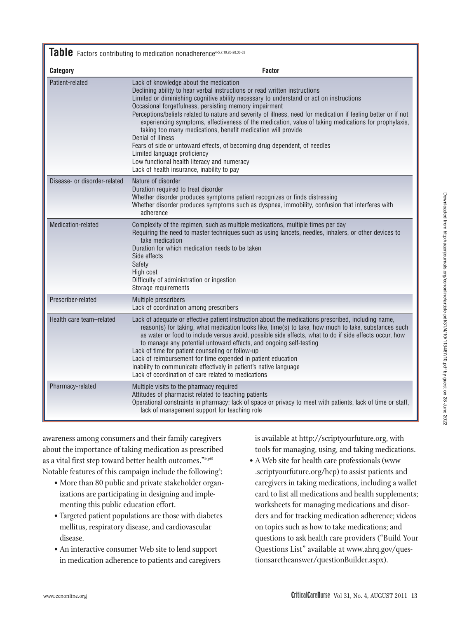| ֚֚֚֡<br>֚֚ |                                                                                   |
|------------|-----------------------------------------------------------------------------------|
|            |                                                                                   |
|            | Downloaded from http://aacnjournals.org/conline/article-pdf/31/413467/10.pdf 9145 |
|            |                                                                                   |
| ֚֬         |                                                                                   |
|            |                                                                                   |

Table Factors contributing to medication nonadherence<sup>4-5,7,19,26-28,30-32</sub></sup>

| Category                     | <b>Factor</b>                                                                                                                                                                                                                                                                                                                                                                                                                                                                                                                                                                                                                                                                                                                                                                                      |  |
|------------------------------|----------------------------------------------------------------------------------------------------------------------------------------------------------------------------------------------------------------------------------------------------------------------------------------------------------------------------------------------------------------------------------------------------------------------------------------------------------------------------------------------------------------------------------------------------------------------------------------------------------------------------------------------------------------------------------------------------------------------------------------------------------------------------------------------------|--|
| Patient-related              | Lack of knowledge about the medication<br>Declining ability to hear verbal instructions or read written instructions<br>Limited or diminishing cognitive ability necessary to understand or act on instructions<br>Occasional forgetfulness, persisting memory impairment<br>Perceptions/beliefs related to nature and severity of illness, need for medication if feeling better or if not<br>experiencing symptoms, effectiveness of the medication, value of taking medications for prophylaxis,<br>taking too many medications, benefit medication will provide<br>Denial of illness<br>Fears of side or untoward effects, of becoming drug dependent, of needles<br>Limited language proficiency<br>Low functional health literacy and numeracy<br>Lack of health insurance, inability to pay |  |
| Disease- or disorder-related | Nature of disorder<br>Duration required to treat disorder<br>Whether disorder produces symptoms patient recognizes or finds distressing<br>Whether disorder produces symptoms such as dyspnea, immobility, confusion that interferes with<br>adherence                                                                                                                                                                                                                                                                                                                                                                                                                                                                                                                                             |  |
| Medication-related           | Complexity of the regimen, such as multiple medications, multiple times per day<br>Requiring the need to master techniques such as using lancets, needles, inhalers, or other devices to<br>take medication<br>Duration for which medication needs to be taken<br>Side effects<br>Safety<br>High cost<br>Difficulty of administration or ingestion<br>Storage requirements                                                                                                                                                                                                                                                                                                                                                                                                                         |  |
| Prescriber-related           | Multiple prescribers<br>Lack of coordination among prescribers                                                                                                                                                                                                                                                                                                                                                                                                                                                                                                                                                                                                                                                                                                                                     |  |
| Health care team-related     | Lack of adequate or effective patient instruction about the medications prescribed, including name,<br>reason(s) for taking, what medication looks like, time(s) to take, how much to take, substances such<br>as water or food to include versus avoid, possible side effects, what to do if side effects occur, how<br>to manage any potential untoward effects, and ongoing self-testing<br>Lack of time for patient counseling or follow-up<br>Lack of reimbursement for time expended in patient education<br>Inability to communicate effectively in patient's native language<br>Lack of coordination of care related to medications                                                                                                                                                        |  |
| Pharmacy-related             | Multiple visits to the pharmacy required<br>Attitudes of pharmacist related to teaching patients<br>Operational constraints in pharmacy: lack of space or privacy to meet with patients, lack of time or staff,<br>lack of management support for teaching role                                                                                                                                                                                                                                                                                                                                                                                                                                                                                                                                    |  |

awareness among consumers and their family caregivers about the importance of taking medication as prescribed as a vital first step toward better health outcomes."5(p6) Notable features of this campaign include the following $^\circ$ :

- More than 80 public and private stakeholder organizations are participating in designing and implementing this public education effort.
- Targeted patient populations are those with diabetes mellitus, respiratory disease, and cardiovascular disease.
- An interactive consumer Web site to lend support in medication adherence to patients and caregivers

is available at http://scriptyourfuture.org, with tools for managing, using, and taking medications.

• A Web site for health care professionals (www .scriptyourfuture.org/hcp) to assist patients and caregivers in taking medications, including a wallet card to list all medications and health supplements; worksheets for managing medications and disorders and for tracking medication adherence; videos on topics such as how to take medications; and questions to ask health care providers ("Build Your Questions List" available at www.ahrq.gov/questionsaretheanswer/questionBuilder.aspx).